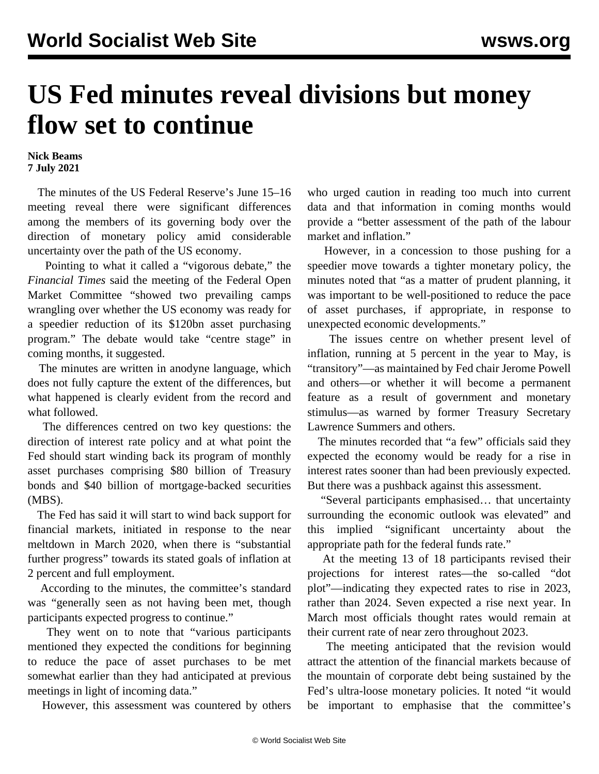## **US Fed minutes reveal divisions but money flow set to continue**

## **Nick Beams 7 July 2021**

 The minutes of the US Federal Reserve's June 15–16 meeting reveal there were significant differences among the members of its governing body over the direction of monetary policy amid considerable uncertainty over the path of the US economy.

 Pointing to what it called a "vigorous debate," the *Financial Times* said the meeting of the Federal Open Market Committee "showed two prevailing camps wrangling over whether the US economy was ready for a speedier reduction of its \$120bn asset purchasing program." The debate would take "centre stage" in coming months, it suggested.

 The minutes are written in anodyne language, which does not fully capture the extent of the differences, but what happened is clearly evident from the record and what followed.

 The differences centred on two key questions: the direction of interest rate policy and at what point the Fed should start winding back its program of monthly asset purchases comprising \$80 billion of Treasury bonds and \$40 billion of mortgage-backed securities (MBS).

 The Fed has said it will start to wind back support for financial markets, initiated in response to the near meltdown in March 2020, when there is "substantial further progress" towards its stated goals of inflation at 2 percent and full employment.

 According to the minutes, the committee's standard was "generally seen as not having been met, though participants expected progress to continue."

 They went on to note that "various participants mentioned they expected the conditions for beginning to reduce the pace of asset purchases to be met somewhat earlier than they had anticipated at previous meetings in light of incoming data."

However, this assessment was countered by others

who urged caution in reading too much into current data and that information in coming months would provide a "better assessment of the path of the labour market and inflation."

 However, in a concession to those pushing for a speedier move towards a tighter monetary policy, the minutes noted that "as a matter of prudent planning, it was important to be well-positioned to reduce the pace of asset purchases, if appropriate, in response to unexpected economic developments."

 The issues centre on whether present level of inflation, running at 5 percent in the year to May, is "transitory"—as maintained by Fed chair Jerome Powell and others—or whether it will become a permanent feature as a result of government and monetary stimulus—as warned by former Treasury Secretary Lawrence Summers and others.

 The minutes recorded that "a few" officials said they expected the economy would be ready for a rise in interest rates sooner than had been previously expected. But there was a pushback against this assessment.

 "Several participants emphasised… that uncertainty surrounding the economic outlook was elevated" and this implied "significant uncertainty about the appropriate path for the federal funds rate."

 At the meeting 13 of 18 participants revised their projections for interest rates—the so-called "dot plot"—indicating they expected rates to rise in 2023, rather than 2024. Seven expected a rise next year. In March most officials thought rates would remain at their current rate of near zero throughout 2023.

 The meeting anticipated that the revision would attract the attention of the financial markets because of the mountain of corporate debt being sustained by the Fed's ultra-loose monetary policies. It noted "it would be important to emphasise that the committee's